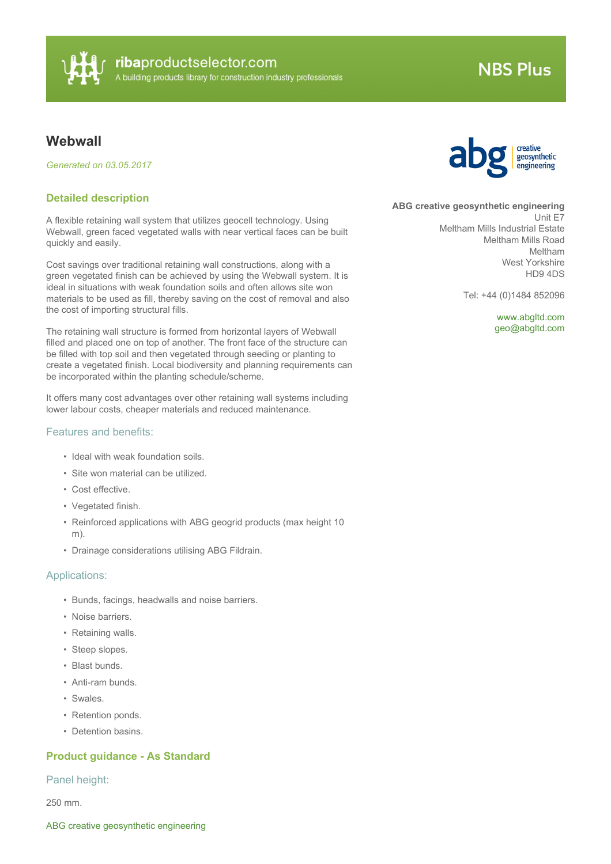

# **NBS Plus**

# **Webwall**

*Generated on 03.05.2017*

### **Detailed description**

A flexible retaining wall system that utilizes geocell technology. Using Webwall, green faced vegetated walls with near vertical faces can be built quickly and easily.

Cost savings over traditional retaining wall constructions, along with a green vegetated finish can be achieved by using the Webwall system. It is ideal in situations with weak foundation soils and often allows site won materials to be used as fill, thereby saving on the cost of removal and also the cost of importing structural fills.

The retaining wall structure is formed from horizontal layers of Webwall filled and placed one on top of another. The front face of the structure can be filled with top soil and then vegetated through seeding or planting to create a vegetated finish. Local biodiversity and planning requirements can be incorporated within the planting schedule/scheme.

It offers many cost advantages over other retaining wall systems including lower labour costs, cheaper materials and reduced maintenance.

#### Features and benefits:

- Ideal with weak foundation soils.
- Site won material can be utilized.
- Cost effective.
- Vegetated finish.
- Reinforced applications with ABG geogrid products (max height 10 m).
- Drainage considerations utilising ABG Fildrain.

#### Applications:

- Bunds, facings, headwalls and noise barriers.
- Noise barriers.
- Retaining walls.
- Steep slopes.
- Blast bunds.
- Anti-ram bunds.
- Swales.
- Retention ponds.
- Detention basins.

### **Product guidance - As Standard**

#### Panel height:

250 mm.



#### **ABG creative geosynthetic engineering**

Unit E7 Meltham Mills Industrial Estate Meltham Mills Road Meltham West Yorkshire HD9 4DS

Tel: +44 (0)1484 852096

<www.abgltd.com> [geo@abgltd.com](mailto:geo@abgltd.com?subject=Webwall)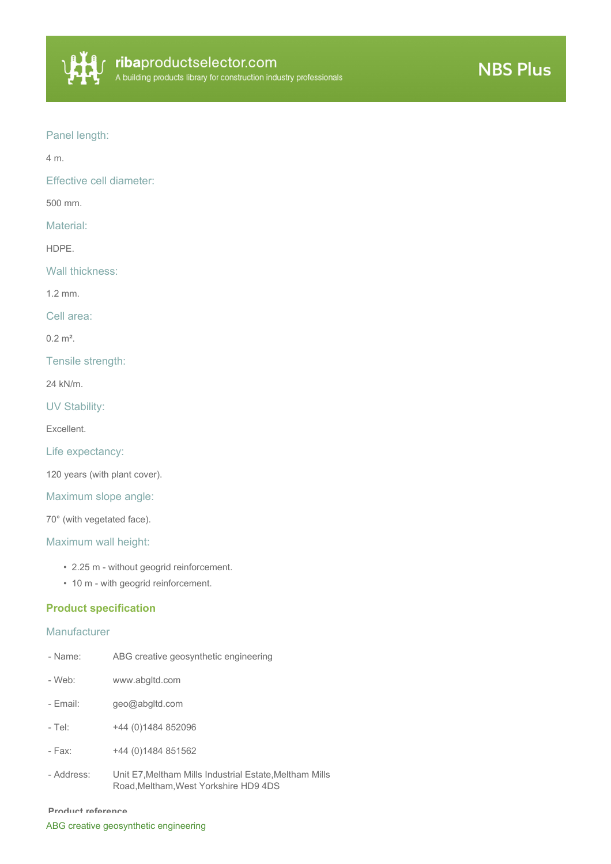

## Panel length:

4 m.

Effective cell diameter:

500 mm.

Material:

HDPE.

Wall thickness:

1.2 mm.

Cell area:

 $0.2 \text{ m}^2$ .

Tensile strength:

24 kN/m.

UV Stability:

Excellent.

Life expectancy:

120 years (with plant cover).

Maximum slope angle:

70° (with vegetated face).

Maximum wall height:

- 2.25 m without geogrid reinforcement.
- 10 m with geogrid reinforcement.

### **Product specification**

#### **Manufacturer**

| - Name:    | ABG creative geosynthetic engineering                                                          |
|------------|------------------------------------------------------------------------------------------------|
| - Web:     | www.abgltd.com                                                                                 |
| - Email:   | geo@abgltd.com                                                                                 |
| $-$ Tel:   | +44 (0) 1484 852096                                                                            |
| - Fax:     | +44 (0)1484 851562                                                                             |
| - Address: | Unit E7, Meltham Mills Industrial Estate, Meltham Mills<br>Road.Meltham.West Yorkshire HD9 4DS |

#### **Product reference**

ABG creative geosynthetic engineering